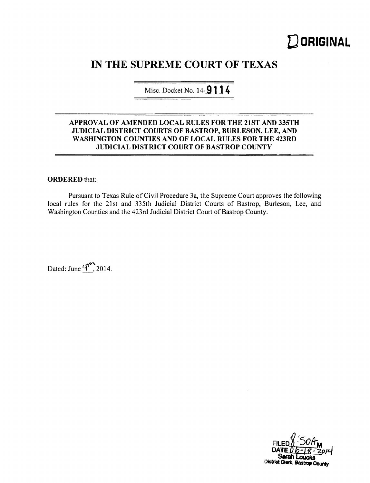# **DORIGINAL**

# **IN THE SUPREME COURT OF TEXAS**

Misc. Docket No. 14-**9114** 

# **APPROV AL OF AMENDED LOCAL RULES FOR THE 21ST AND 335TH JUDICIAL DISTRICT COURTS OF BASTROP, BURLESON, LEE, AND WASHINGTON COUNTIES AND OF LOCAL RULES FOR THE 423RD JUDICIAL DISTRICT COURT OF BASTROP COUNTY**

# **ORDERED** that:

Pursuant to Texas Rule of Civil Procedure 3a, the Supreme Court approves the following local rules for the 2]st and 335th Judicial District Courts of Bastrop, Burleson, Lee, and Washington Counties and the 423rd Judicial District Court of Bastrop County.

Dated: June  $q^{\text{th}}$ , 2014.

District Olerk, Bastrop County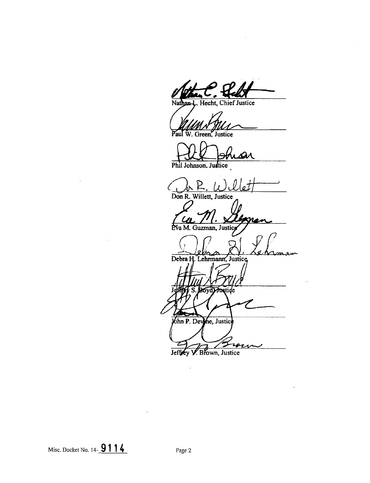J. Hecht, Chief Justice Nathan

**Julie Community**<br>aul W. Green, Justice

Phil Johnson, Justice

**Don R. Willett, Justice**  a M. **Guzman, Justic**  Debra H. Lehrmann, Justice ১০১৭) **Fractide** John P. Devine, Justice

zan

V. Brown, Justice Jeffey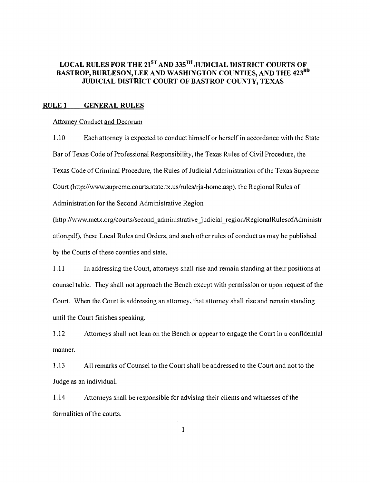# LOCAL RULES FOR THE 21<sup>st</sup> AND 335<sup>th</sup> JUDICIAL DISTRICT COURTS OF **BASTROP, BURLESON, LEE AND WASHINGTON COUNTIES, AND THE 423RD JUDICIAL DISTRICT COURT OF BASTROP COUNTY, TEXAS**

#### **RULEl GENERAL RULES**

#### Attorney Conduct and Decorum

1.10 Each attorney is expected to conduct himself or herself in accordance with the State Bar of Texas Code of Professional Responsibility, the Texas Rules of Civil Procedure, the Texas Code of Criminal Procedure, the Rules of Judicial Administration of the Texas Supreme Court (http://www.supreme.courts.state.tx.us/rules/rja-home.asp), the Regional Rules of Administration for the Second Administrative Region

(http://www.mctx.org/courts/second\_administrative\_judicial\_region/RegionalRulesofAdministr ation.pdf), these Local Rules and Orders, and such other rules of conduct as may be published by the Courts of these counties and state.

1.11 In addressing the Court, attorneys shall rise and remain standing at their positions at counsel table. They shall not approach the Bench except with permission or upon request of the Court. When the Court is addressing an attorney, that attorney shall rise and remain standing until the Court finishes speaking.

1.12 Attorneys shall not lean on the Bench or appear to engage the Court in a confidential manner.

1.13 All remarks ofCounsel to the Court shall be addressed to the Court and not to the Judge as an individuaL

1.14 Attorneys shall be responsible for advising their clients and witnesses of the formalities of the courts.

 $\mathbf{1}$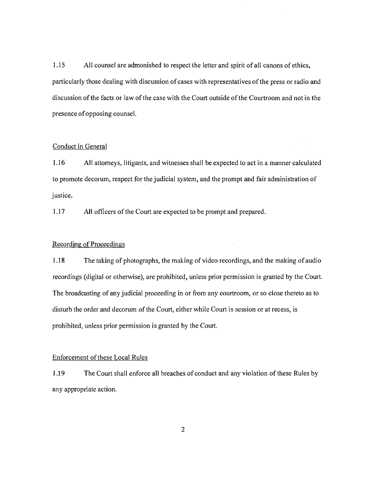1.15 All counsel are admonished to respect the letter and spirit of all canons of ethics, particularly those dealing with discussion of cases with representatives of the press or radio and discussion of the facts or law of the case with the Court outside of the Courtroom and not in the presence ofopposing counsel.

# Conduct in General

1.16 All attorneys, litigants, and witnesses shall be expected to act in a manner calculated to promote decorum, respect for the judicial system, and the prompt and fair administration of justice.

1.17 **All officers of the Court are expected to be prompt and prepared.** 

# Recording of Proceedings

1.18 The taking of photographs, the making of video recordings, and the making of audio recordings (digital or otherwise), arc prohibited, unless prior permission is granted by the Court. The broadcasting of any judicial proceeding in or from any courtroom, or so close thereto as to disturb the order and decorum of the Court, either while Court is session or at recess, is prohibited, unless prior permission is granted by the Court.

#### Enforcement of these Local Rules

J.19 The Court shall enforce all breaches of conduct and any violation of these Rules by any appropriate action.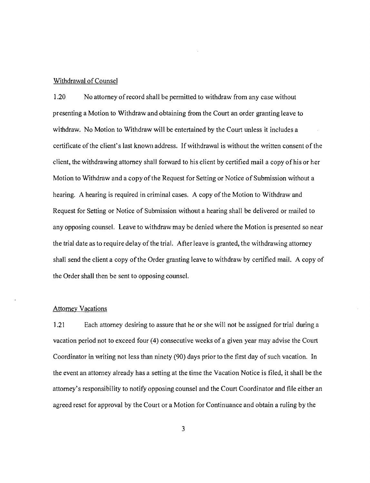#### Withdrawal of Counsel

1.20 No attorney of record shall be permitted to withdraw from any case without presenting a Motion to Withdraw and obtaining from the Court an order granting leave to withdraw. No Motion to Withdraw will be entertained by the Court unless it includes a certificate ofthe client's last known address. If withdrawal is without the written consent of the client, the withdrawing attorney shall forward to his client by certified mail a copy of his or her Motion to Withdraw and a copy of the Request for Setting or Notice of Submission without a hearing. A hearing is required in criminal cases. A copy of the Motion to Withdraw and Request for Setting or Notice of Submission without a hearing shall be delivered or mailed to any opposing counsel. Leave to withdraw may be denied where the Motion is presented so near the trial date as to require delay of the trial. After leave is granted, the withdrawing attorney shall send the client a copy of the Order granting leave to withdraw by certified mail. A copy of the Order shall then be sent to opposing counsel.

#### **Attorney Vacations**

1.21 Each attorney desiring to assure that he or she will not be assigned for trial during a vacation period not to exceed four (4) consecutive weeks of a given year may advise the Court Coordinator in writing not less than ninety (90) days prior to the first day of such vacation. In the event an attorney already has a setting at the time the Vacation Notice is filed, it shall be the attorney's responsibility to notify opposing counsel and the Court Coordinator and file either an agreed reset for approval by the Court or a Motion for Continuance and obtain a ruling by the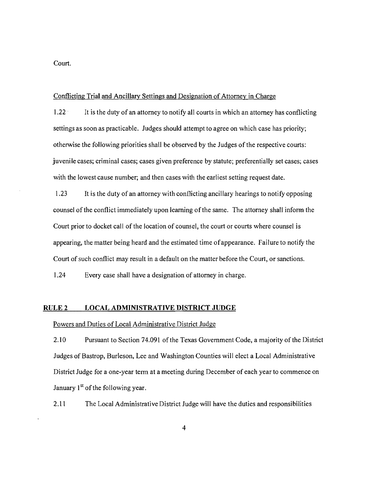Court.

#### Conflicting **Trial** and Ancillary Settings and Designation of Attorney in Charge

1.22 . It is the duty of an attorney to notify all courts in which an attorney has conflicting settings as soon as practicable. Judges should attempt to agree on which case has priority; otherwise the following priorities shall be observed by the Judges of the respective courts: juvenile cases; criminal cases; cases given preference by statute; preferentially set cases; cases with the lowest cause number; and then cases with the earliest setting request date.

1.23 It is the duty of an attorney with conflicting ancillary hearings to notify opposing counsel of the conflict immediately upon learning ofthe same. The attorney shall inform the Court prior to docket call of the location of counsel, the court or courts where counsel is appearing, the matter being heard and the estimated time ofappearance. failure to notify the Court of such conflict may result in a default on the matter before the Court, or sanctions.

1.24 Every case shall have a designation of attorney in charge.

#### RULE 2 **LOCAL ADMINISTRATIVE DISTRICT JUDGE**

#### Powers and Duties of Local Administrative District Judge

2.10 Pursuant to Section 74.091 of the Texas Government Code, a majority of the District Judges of Bastrop, Burleson, Lee and Washington Counties will elect a Local Administrative District Judge for a one-year term at a meeting during December of each year to commence on January 1<sup>st</sup> of the following year.

2.11 The Local Administrative District Judge will have the duties and responsibilities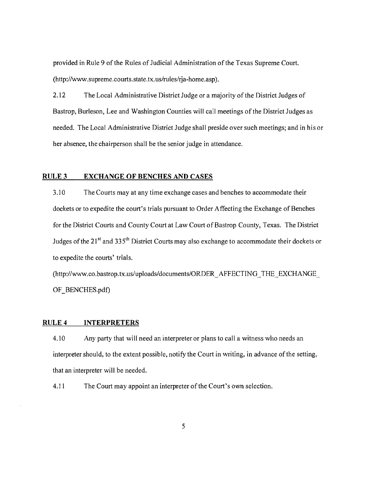provided in Rule 9 of the Rules of Judicial Administration of the Texas Supreme Court. (http://www.supreme.courts.state.tx.us/rules/rja-home.asp).

2.12 The Local Administrative District Judge or a majority of the District Judges of Bastrop, Burleson, Lee and Washington Counties will call meetings of the District Judges as needed. The Local Administrative District Judge shall preside over such meetings; and in his or her absence, the chairperson shall be the senior judge in attendance.

# RULE 3 **EXCHANGE OF BENCHES AND CASES**

3.10 The Courts may at any time exchange cases and benches to accommodate their dockets or to expedite the court's trials pursuant to Order Affecting the Exchange of Benches for the District Courts and County Court at Law Court of Bastrop County, Texas. The District Judges of the  $21<sup>st</sup>$  and 335<sup>th</sup> District Courts may also exchange to accommodate their dockets or to expedite the courts' trials.

(http://www.co.bastrop.tx.us/uploads/documents/ORDER\_AFFECTING\_THE\_EXCHANGE OF BENCHES.pdf)

#### RULE 4 **INTERPRETERS**

4.10 Any party that will need an interpreter or plans to call a witness who needs an interpreter should, to the extent possible, notify the Court in writing, in advance of the setting, that an interpreter will be needed.

4.11 The Court may appoint an interpreter of the Court's own selection.

5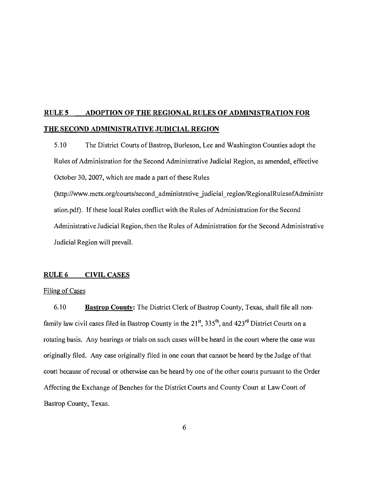# **RULES ADOPTION OF THE REGIONAL RULES OF ADMINISTRATION FOR THE SECOND ADMINISTRATIVE JUDICIAL REGION**

5.10 The District Courts of Bastrop, Burleson, Lee and Washington Counties adopt the Rules of Administration for the Second Administrative Judicial Region, as amended, effective October 30, 2007, which are made a part of these Rules

(http://www.mctx.org/courts/second\_administrative\_judicial\_region/RegionalRulesofAdministr ation.pdf). **If**these local Rules conflict with the Rules of Administration for the Second Administrative Judicial Region, then the Rules of Administration for the Second Administrative Judicial Region will prevail.

# RULE 6 CIVIL CASES

#### Filing of Cases

6.10 **Bastrop County:** The District Clerk of Bastrop County, Texas, shall file all nonfamily law civil cases filed in Bastrop County in the  $21^{st}$ ,  $335^{th}$ , and  $423^{rd}$  District Courts on a rotating basis. Any hearings or trials on such cases will be heard in the court where the case was originally filed. Any case originally filed in one court that cannot be heard by the Judge of that court because of recusal or otherwise can be heard by one of the other courts pursuant to the Order Affecting the Exchange of Benches for the District Courts and County Court at Law Court of Bastrop County, Texas.

6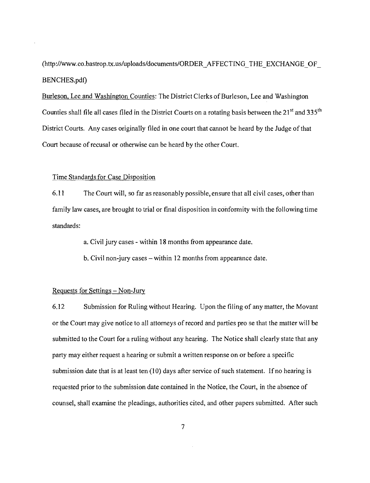(http://www.co.bastrop.tx.us/uploads/documents/ORDER\_AFFECTING\_THE\_EXCHANGE\_OF\_ BENCHES.pdf)

Burleson, Lee and Washington Counties: The District Clerks of Burleson, Lee and Washington Counties shall file all cases filed in the District Courts on a rotating basis between the  $21^{st}$  and  $335^{th}$ District Courts. Any cases originally filed in one court that cannot be heard by the Judge ofthat Court because of recusal or otherwise can be heard by the other Court.

#### Time Standards for Case Disposition

6.11 The Court will, so far as reasonably possible, ensure that all civil cases, other than family law cases, are brought to trial or final disposition in conformity with the following time standards:

a. Civil jury cases - within 18 months from appearance date.

b. Civil non-jury cases  $-\text{within 12}$  months from appearance date.

# Requests for Settings - Non-Jury

6.12 Submission for Ruling without Hearing. Upon the filing of any matter, the Movant or the Court may give notice to all attorneys of record and parties pro se that the matter will be submitted to the Court for a ruling without any hearing. The Notice shall clearly state that any party may either request a hearing or submit a written response on or before a specific submission date that is at least ten (10) days after service of such statement. If no hearing is requested prior to the submission date contained in the Notice, the Court, in the absence of counsel, shall examine the pleadings, authorities cited, and other papers submitted. After such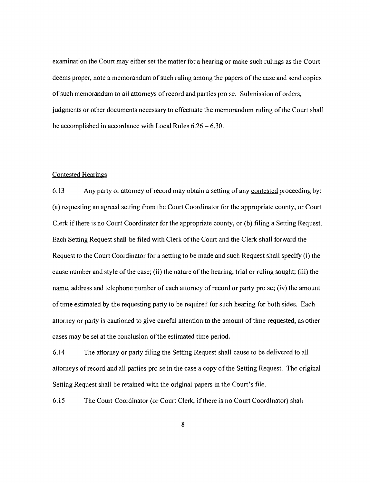examination the Court may either set the matter for a hearing or make such rulings as the Court deems proper, note a memorandum of such ruling among the papers of the case and send copies of such memorandum to all attorneys of record and parties pro se. Submission of orders, judgments or other documents necessary to effectuate the memorandum ruling of the Court shall be accomplished in accordance with Local Rules 6.26 - 6.30.

#### Contested Hearings

6.13 Any party or attorney of record may obtain a setting of any contested proceeding by: (a) requesting an agreed setting from the Court Coordinator for the appropriate county, or Court Clerk if there is no Court Coordinator for the appropriate county, or (b) filing a Setting Request. Each Setting Request shall be filed with Clerk ofthe Court and the Clerk shall forward the Request to the Court Coordinator for a setting to be made and such Request shall specify (i) the cause number and style of the case; (ii) the nature of the hearing, trial or ruling sought; (iii) the name, address and telephone number of each attorney of record or party pro se; (iv) the amount of time estimated by the requesting party to be required for such hearing for both sides. Each attorney or party is cautioned to give careful attention to the amount oftime requested, as other cases may be set at the conclusion of the estimated time period.

6.14 The attorney or party filing the Setting Request shall cause to be delivered to all attorneys of record and all parties pro se in the case a copy ofthe Setting Request. The original Setting Request shall be retained with the original papers in the Court's file.

6.15 The Court Coordinator (or Court Clerk, ifthere is no Court Coordinator) shall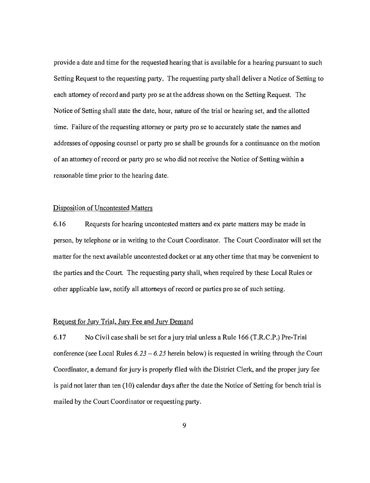provide a date and time for the requested hearing that is available for a hearing pursuant to such Setting Request to the requesting party. The requesting party shall deliver a Notice of Setting to each attorney of record and party pro se at the address shown on the Setting Request. The Notice of Setting shall state the date, hour, nature of the trial or hearing set, and the allotted time. Failure of the requesting attorney or party pro se to accurately state the names and addresses of opposing counsel or party pro se shall be grounds for a continuance on the motion of an attorney of record or party pro se who did not receive the Notice of Setting within a reasonable time prior to the hearing date.

#### Disposition of Uncontested Matters

6.16 Requests for hearing uncontested matters and ex parte matters may be made in person, by telephone or in writing to the Court Coordinator. The Court Coordinator will set the matter for the next available uncontested docket or at any other time that may be convenient to the parties and the Court. The requesting party shall, when required by these Local Rules or other applicable law, notify all attorneys of record or parties pro se of such setting.

# Request for Jury Trial, Jury Fee and Jury Demand

6.17 No Civil case shall be set for ajury trial unless a Rule 166 (T.R.C.P.) Pre-Trial conference (see Local Rules  $6.23 - 6.25$  herein below) is requested in writing through the Court Coordinator, a demand for jury is properly tiled with the District Clerk, and the proper jury fee is paid not later than ten (10) calendar days after the date the Notice of Setting for bench trial is mailed by the Court Coordinator or requesting party.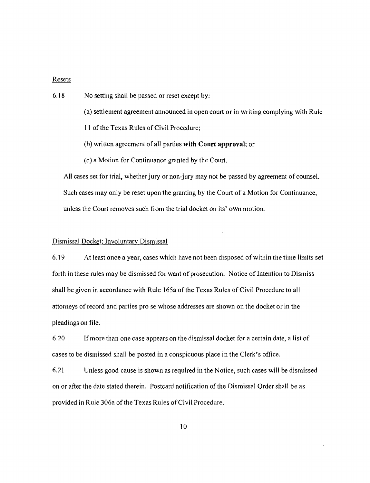#### Resets

6.18 No setting shall be passed or reset except by:

(a) settlement agreement announced in open court or in writing complying with Rule

11 ofthe Texas Rules of Civil Procedure;

(b) written agreement of all parties **with Court** approval; or

(c) a Motion for Continuance granted by the Court.

All cases set for trial, whether jury or non-jury may not be passed by agreement of counsel. Such cases may only be reset upon the granting by the Court of a Motion for Continuance, unless the Court removes such from the trial docket on its' own motion.

# Dismissal Docket; Involuntary Dismissal

6.19 At least once a year, cases which have not been disposed ofwithin the time limits set forth in these rules may be dismissed for want of prosecution. Notice of Intention to Dismiss shall be given in accordance with Rule 165a of the Texas Rules of Civil Procedure to all attorneys of record and parties pro se whose addresses are shown on the docket or in the pleadings on file.

6.20 If more than one case appears on the dismissal docket for a certain date, a list of cases to be dismissed shall be posted in a conspicuous place in the Clerk's office.

6.21 Unless good cause is shown as required in the Notice, such cases will be dismissed on or after the date stated therein. Postcard notification of the Dismissal Order sha1l be as provided in Rule 306a of the Texas Rules of Civil Procedure.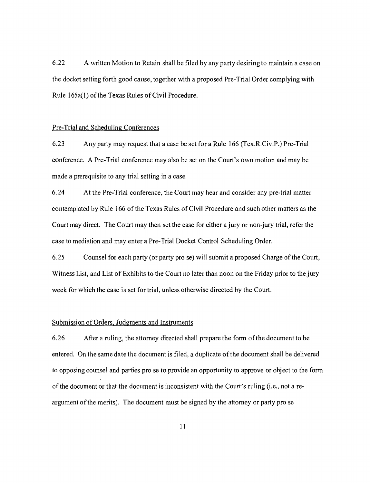6.22 A written Motion to Retain shall be flied by any party desiring to maintain a case on the docket setting forth good cause, together with a proposed Pre-Trial Order complying with Rule 165a(1) of the Texas Rules of Civil Procedure.

#### Pre-Trial and Scheduling Conferences

6.23 Any party may request that a case be set for a Rule 166 (Tex.RCiv.P.) Pre-Trial conference. A Pre-Trial conference may also be set on the Court's own motion and may be made a prerequisite to any trial setting in a case.

6.24 At the Pre-Trial conference, the Court may hear and consider any pre-trial matter contemplated by Rule 166 of the Texas Rules of Civil Procedure and such other matters as the Court may direct. The Court may then set the case for either a jury or non-jury trial, refer the case to mediation and may enter a Pre-Trial Docket Control Scheduling Order.

6.25 Counsel for each party (or party pro se) will submit a proposed Charge of the Court, Witness List, and List of Exhibits to the Court no later than noon on the Friday prior to the jury week for which the case is set for trial, unless otherwise directed by the Court.

#### Submission of Orders, Judgments and Instruments

6.26 After a ruling, the attorney directed shall prepare the form ofthe document to be entered. On the same date the document is filed, a duplicate ofthe document shall be delivered to opposing counsel and parties pro se to provide an opportunity to approve or object to the form of the document or that the document is inconsistent with the Court's ruling (i.e., not a reargument of the merits). The document must be signed by the attorney or party pro se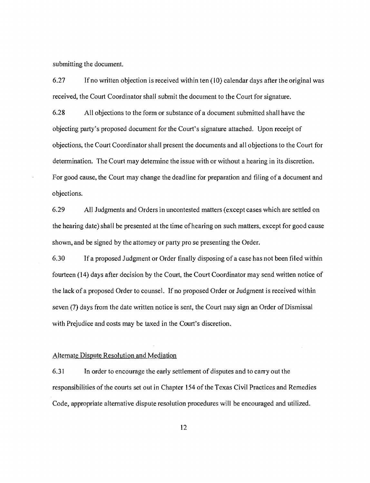submitting the document.

6.27 If no written objection is received within ten (10) calendar days after the original was received, the Court Coordinator shall submit the document to the Court for signature.

6.28 All objections to the form or substance of a document submitted shall have the objecting party's proposed document for the Court's signature attached. Upon receipt of objections, the Court Coordinator shall present the documents and all objections to the Court for determination. The Court may determine the issue with or without a hearing in its discretion. For good cause, the Court may change the deadline for preparation and tiling of a document and objections.

6.29 All Judgments and Orders in uncontested matters (except cases which are settled on the hearing date) shall be presented at the time ofhearing on such matters, except for good cause shown, and be signed by the attorney or party pro se presenting the Order.

6.30 If a proposed Judgment or Order tinally disposing of a case has not been filed within fourteen (14) days after decision by the Court, the Court Coordinator may send written notice of the lack of a proposed Order to counsel. If no proposed Order or Judgment is received within seven (7) days from the date written notice is sent, the Court may sign an Order of Dismissal with Prejudice and costs may be taxed in the Court's discretion.

#### Alternate Dispute Resolution and Mediation

6.31 In order to encourage the early settlement of disputes and to carry out the responsibilities of the courts set out in Chapter 154 of the Texas Civil Practices and Remedies Code, appropriate alternative dispute resolution procedures will be encouraged and utilized.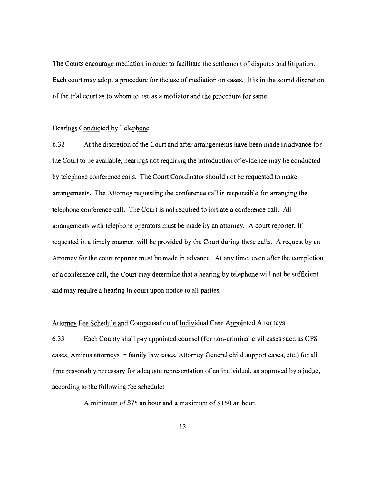The Courts encourage mediation in order to facilitate the settlement of disputes and litigation. Each court may adopt a procedure for the use of mediation on cases. It is in the sound discretion of the trial court as to whom to use as a mediator and the procedure for same.

#### Hearings Conducted by Telephone

6.32 At the discretion of the Court and after arrangements have been made in advance for the Court to be available, hearings not requiring the introduction of evidence may be conducted by telephone conference calls. The Court Coordinator should not be requested to make arrangements. The Attorney requesting the conference call is responsible for arranging the telephone conference call. The Court is not required to initiate a conference call. All arrangements with telephone operators must be made by an attorney. A court reporter, if requested in a timely manner, will be provided by the Court during these calls. A request by an Attorney for the court reporter must be made in advance. At any time, even after the completion of a conference call, the Court may determine that a hearing by telephone will not be sufficient and may require a hearing in court upon notice to all parties.

# Attorney Fee Schedule and Compensation of Individual Case Appointed Attorneys

6.33 Each County shall pay appointed counsel (fornon-criminal civil cases such as CPS cases, Amicus attorneys in family law cases, Attorney General child support cases, etc.) for all time reasonably necessary for adequate representation of an individual, as approved by a judge, according to the following fee schedule:

A minimum of \$75 an hour and a maximum of \$150 an hour.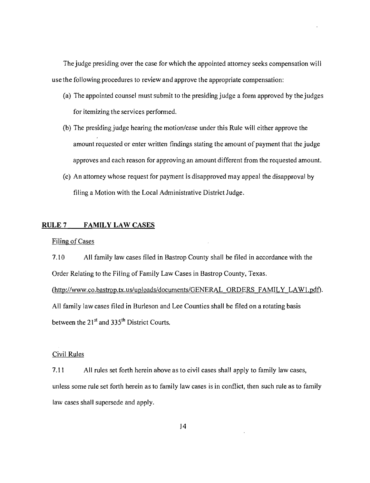The judge presiding over the case for which the appointed attorney seeks compensation wi II use the following procedures to review and approve the appropriate compensation:

- (a) The appointed counsel must submit to the presiding judge a form approved by the judges for itemizing the services performed.
- (b) The presiding judge hearing the motion/case under this Rule will either approve the amount requested or enter written findings stating the amount of payment that the judge approves and each reason for approving an amount different from the requested amount.
- (c) An attorney whose request for payment is disapproved may appeal the disapproval by tiling a Motion with the Local Administrative District Judge.

# RULE 7 **FAMILY LAW** CASES

#### Filing of Cases

7.10 All family law cases filed in Bastrop County shall be filed in accordance with the Order Relating to the Filing of Family Law Cases in Bastrop County, Texas.

(http://www.co.bastrop.tx.us/uploads/documents/GENERAL ORDERS FAMILY LAW1.pdf). All family law cases filed in Burleson and Lee Counties shall be filed on a rotating basis between the  $21<sup>st</sup>$  and 335<sup>th</sup> District Courts.

#### Civil Rules

7.11 All rules set forth herein above as to civil cases shall apply to family law cases, unless some rule set forth herein as to family law cases is in conflict, then such rule as to family law cases shall supersede and apply.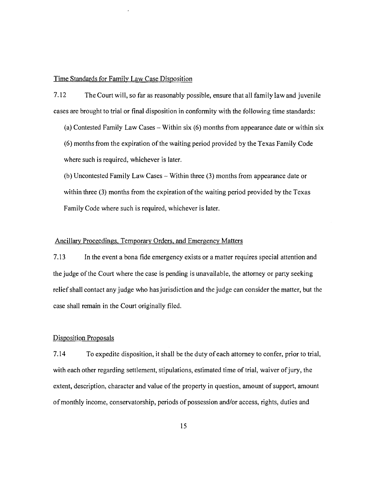Time Standards for Family Law Case Disposition

7.12 The Court will, so far as reasonably possible, ensure that all family law and juvenile cases are brought to trial or final disposition in conformity with the following time standards:

(a) Contested Family Law Cases - Within six (6) months from appearance date or within six (6) months from the expiration of the waiting period provided by the Texas Family Code where such is required, whichever is later.

(b) Uncontested Family Law Cases - Within three (3) months from appearance date or within three (3) months from the expiration of the waiting period provided by the Texas Family Code where such is required, whichever is later.

# Ancillary Proceedings, Temporary Orders. and Emergency Matters

7.13 In the event a bona fide emergency exists or a matter requires special attention and the judge ofthe Court where the case is pending is unavailable, the attorney or party seeking relief shall contact any judge who has jurisdiction and the judge can consider the matter, but the case shall remain in the Court originally filed.

#### Disposition Proposals

7.14 To expedite disposition, it shall be the duty ofeach attorney to confer, prior to trial, with each other regarding settlement, stipulations, estimated time of trial, waiver of jury, the extent, description, character and value of the property in question, amount of support, amount of monthly income, conservatorship, periods of possession and/or access, rights, duties and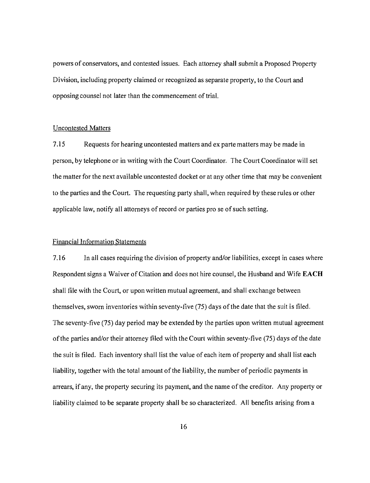powers of conservators, and contested issues. Each attorney shall submit a Proposed Property Division, including property claimed or recognized as separate property, to the Court and opposing counsel not later than the commencement of trial.

# Uncontested Matters

7.15 Requests for hearing uncontested matters and ex parte matters may be made in person, by telephone or in writing with the Court Coordinator. The Court Coordinator will set the matter for the next available uncontested docket or at any other time that may be convenient to the parties and the Court. The requesting party shall, when required by these rules or other applicable law, notify all attorneys of record or parties pro se of such setting.

#### Financial Information Statements

7.16 In all cases requiring the division of property and/or liabilities, except in cases where Respondent signs a Waiver of Citation and does not hire counsel, the Husband and Wife **EACH**  shall file with the Court, or upon written mutual agreement, and shall exchange between themselves, sworn inventories within seventy-five (75) days of the date that the suit is filed. The seventy-tive (75) day period may be extended by the parties upon written mutual agreement ofthe parties and/or their attorney filed with the Court within seventy-five (75) days ofthe date the suit is filed. Each inventory shall list the value of each item of property and shall list each liability, together with the total amount of the liability, the number of periodic payments in arrears, ifany, the property securing its payment, and the name ofthe creditor. Any property or liability claimed to be separate property shall be so characterized. All benefits arising from a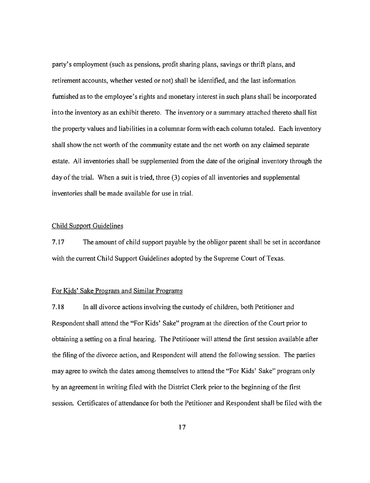party's employment (such as pensions, profit sharing plans, savings or thrift plans, and retirement accounts, whether vested or not) shall be identified, and the last information furnished as to the employee's rights and monetary interest in such plans shall be incorporated into the inventory as an exhibit thereto. The inventory or a summary attached thereto shall list the property values and liabilities in a columnar form with each column totaled. Each inventory shall show the net worth of the community estate and the net worth on any claimed separate estate. All inventories shall be supplemented from the date ofthe original inventory through the day of the trial. When a suit is tried, three  $(3)$  copies of all inventories and supplemental inventories shall be made available for use in trial.

#### Child Support Guidelines

7.17 The amount of child support payable by the obligor parent shall be set in accordance with the current Child Support Guidelines adopted by the Supreme Court of Texas.

#### For Kids' Sake Program and Similar Programs

7.18 In all divorce actions involving the custody of children, both Petitioner and Respondent shall attend the "For Kids' Sake" program at the direction of the Court prior to obtaining a setting on a final hearing. The Petitioner will attend the first session available after the filing of the divorce action, and Respondent will attend the following session. The parties may agree to switch the dates among themselves to attend the "For Kids' Sake" program only by an agreement in writing filed with the District Clerk prior to the beginning of the first session. Certificates of attendance for both the Petitioner and Respondent shall be filed with the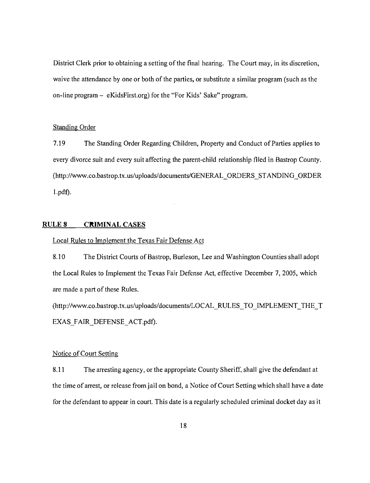District Clerk prior to obtaining a setting of the final hearing. The Court may, in its discretion, waive the attendance by one or both of the parties; or substitute a similar program (such as the on-line program - eKidsFirst.org) for the "For Kids' Sake" program.

#### Standing Order

7.19 The Standing Order Regarding Children, Property and Conduct of Parties applies to every divorce suit and every suit affecting the parent-child relationship filed in Bastrop County. (http://www.co.bastrop.tx.us/upJoads/documents/GENERAL\_ORDERS\_STANDING\_ORDER l.pdf).

#### **RULE 8 CRIMINAL CASES**

#### Local Rules to Implement the Texas Fair Defense Act

8.10 The District Courts of Bastrop, Burleson, Lee and Washington Counties shall adopt the Local Rules to Implement the Texas Fair Defense Act, effective December 7, 2005, which are made a part of these Rules.

(http://www.co.bastrop.tx.us/uploads/documents/LOCAL\_RULES\_TO\_IMPLEMENT\_THE\_T EXAS\_FAIR\_DEFENSE\_ACT.pdf).

#### Notice of Court Setting

8.11 The arresting agency, or the appropriate County Sheriff, shall give the defendant at the time of arrest, or release from jail on bond, a Notice of Court Setting which shall have a date for the defendant to appear in court. This date is a regularly scheduled criminal docket day as it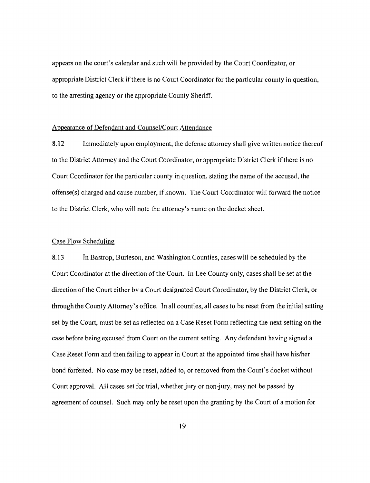appears on the court's calendar and such will be provided by the Court Coordinator, or appropriate District Clerk if there is no Court Coordinator for the particular county in question, to the arresting agency or the appropriate County Sheriff.

# Appearance of Defendant and Counsel/Court Attendance

8.12 Immediately upon employment, the defense attorney shall give written notice thereof to the District Attorney and the Court Coordinator, or appropriate District Clerk if there is no Court Coordinator for the particular county in question, stating the name of the accused, the offense(s) charged and cause number, ifknown. The Court Coordinator will forward the notice to the District Clerk, who will note the attorney's name on the docket sheet.

#### Case Flow Scheduling

8.13 In Bastrop, Burleson, and Washington Counties, cases will be scheduled by the Court Coordinator at the direction of the Court. In Lee County only, cases shall be set at the direction of the Court either by a Court designated Court Coordinator, by the District Clerk, or through the County Attorney's office. In all counties, all cases to be reset from the initial setting set by the Court, must be set as reflected on a Case Reset Form reflecting the next setting on the case before being excused from Court on the current setting. Any defendant having signed a Case Reset Form and then failing to appear in Court at the appointed time shall have his/her bond forfeited. No case may be reset, added to, or removed from the Court's docket without Court approval. All cases set for trial, whether jury or non-jury, may not be passed by agreement of counsel. Such may only be reset upon the granting by the Court of a motion for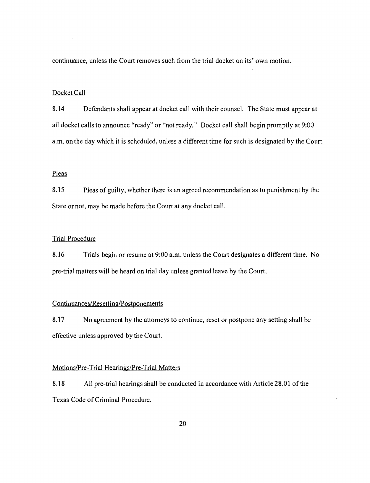continuance, unless the Court removes such from the trial docket on its' own motion.

#### Docket Call

8.14 Defendants shall appear at docket call with their counsel. The State must appear at all docket calls to announce "ready" or "not ready." Docket call shall begin promptly at 9:00 a.m. on the day which it is scheduled, unless a different time for such is designated by the Court.

#### Pleas

8.15 Pleas of guilty, whether there is an agreed recommendation as to punishment by the State or not, may be made before the Court at any docket call.

# Trial Procedure

8.16 Trials begin or resume at 9:00 a.m. unless the Court designates a different time. No pre-trial matters will be heard on trial day unless granted leave by the Court.

#### Continuances/Resetting/Postponements

8.17 No agreement by the attorneys to continue, reset or postpone any setting shall be effective unless approved by the Court.

#### Motions/Pre-Trial Hearings/Pre-Trial Matters

8.18 All pre-trial hearings shall be conducted in accordance with Article 28.01 of the Texas Code of Criminal Procedure.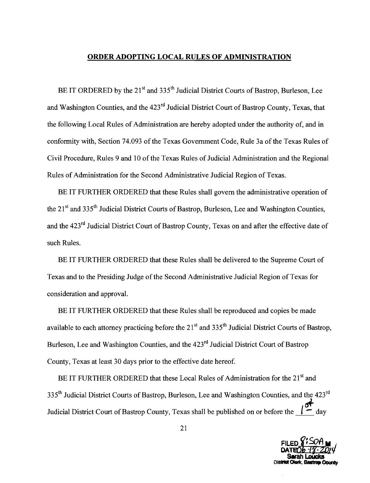#### **ORDER ADOPTING LOCAL RULES OF ADMINISTRATION**

BE IT ORDERED by the 21<sup>st</sup> and 335<sup>th</sup> Judicial District Courts of Bastrop, Burleson, Lee and Washington Counties, and the 423<sup>rd</sup> Judicial District Court of Bastrop County, Texas, that the following Local Rules of Administration are hereby adopted under the authority of, and in conformity with, Section 74.093 of the Texas Government Code, Rule 3a of the Texas Rules of Civil Procedure, Rules 9 and 10 of the Texas Rules of Judicial Administration and the Regional Rules of Administration for the Second Administrative Judicial Region of Texas.

BE IT FURTHER ORDERED that these Rules shall govern the administrative operation of the  $21<sup>st</sup>$  and 335<sup>th</sup> Judicial District Courts of Bastrop, Burleson, Lee and Washington Counties, and the 423<sup>rd</sup> Judicial District Court of Bastrop County, Texas on and after the effective date of such Rules.

BE IT FURTHER ORDERED that these Rules shall be delivered to the Supreme Court of Texas and to the Presiding Judge of the Second Administrative Judicial Region of Texas for consideration and approval.

BE IT FURTHER ORDERED that these Rules shall be reproduced and copies be made available to each attorney practicing before the 21<sup>st</sup> and 335<sup>th</sup> Judicial District Courts of Bastrop, Burleson, Lee and Washington Counties, and the 423<sup>rd</sup> Judicial District Court of Bastrop County, Texas at least 30 days prior to the effective date hereof.

BE IT FURTHER ORDERED that these Local Rules of Administration for the 21<sup>st</sup> and 335<sup>th</sup> Judicial District Courts of Bastrop, Burleson, Lee and Washington Counties, and the 423<sup>rd</sup> Judicial District Court of Bastrop County, Texas shall be published on or before the  $\int_{-\infty}^{\infty}$  day

Count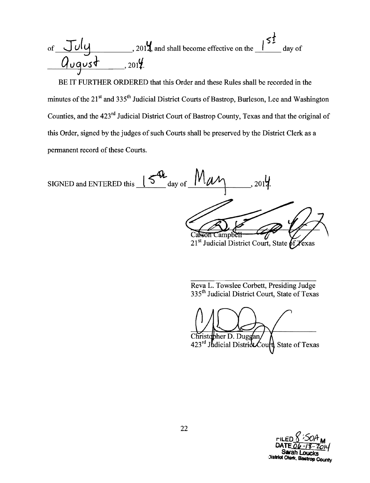**'S1**  of  $JUU$ , 2014, and shall become effective on the  $I^{32}$  day of  $Ququst \_2014$ 

BE IT FURTHER ORDERED that this Order and these Rules shall be recorded in the minutes of the 21<sup>st</sup> and 335<sup>th</sup> Judicial District Courts of Bastrop, Burleson, Lee and Washington Counties, and the 423rd Judicial District Court of Bastrop County, Texas and that the original of this Order, signed by the judges of such Courts shall be preserved by the District Clerk as a permanent record of these Courts.

SIGNED and ENTERED this  $\frac{15}{\text{day of}} \frac{10}{\text{day}}$  ( $\frac{10}{\text{day}}$ , 2014. Carson Campbell

21<sup>st</sup> Judicial District Court, State of Texas

Reva L. Towslee Corbett, Presiding Judge 335<sup>th</sup> Judicial District Court, State of Texas

Christopher D. Duggan 423rd Judicial District  $\mathcal{L}$ ourt State of Texas